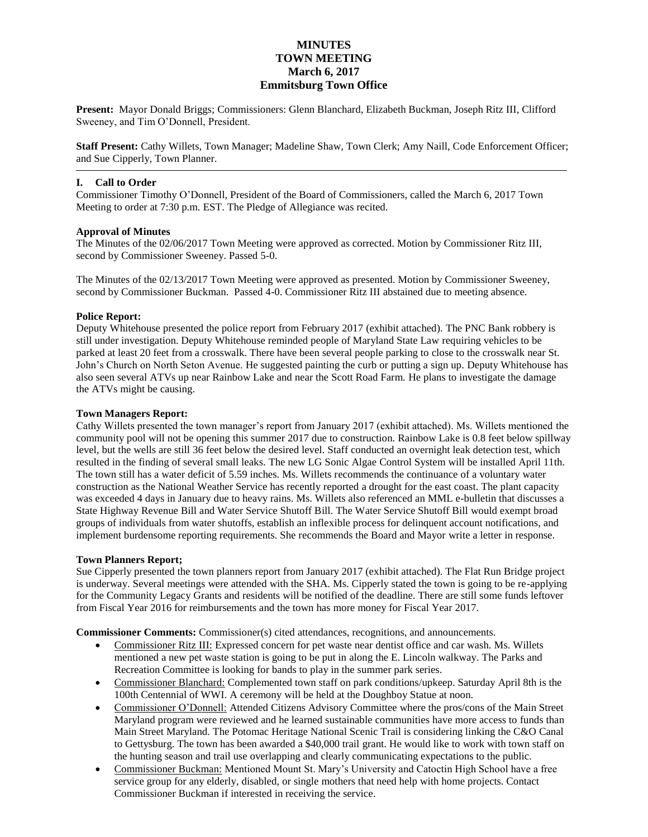# **MINUTES TOWN MEETING March 6, 2017 Emmitsburg Town Office**

**Present:** Mayor Donald Briggs; Commissioners: Glenn Blanchard, Elizabeth Buckman, Joseph Ritz III, Clifford Sweeney, and Tim O"Donnell, President.

**Staff Present:** Cathy Willets, Town Manager; Madeline Shaw, Town Clerk; Amy Naill, Code Enforcement Officer; and Sue Cipperly, Town Planner.

### **I. Call to Order**

Commissioner Timothy O"Donnell, President of the Board of Commissioners, called the March 6, 2017 Town Meeting to order at 7:30 p.m. EST. The Pledge of Allegiance was recited.

#### **Approval of Minutes**

The Minutes of the 02/06/2017 Town Meeting were approved as corrected. Motion by Commissioner Ritz III, second by Commissioner Sweeney. Passed 5-0.

The Minutes of the 02/13/2017 Town Meeting were approved as presented. Motion by Commissioner Sweeney, second by Commissioner Buckman. Passed 4-0. Commissioner Ritz III abstained due to meeting absence.

### **Police Report:**

Deputy Whitehouse presented the police report from February 2017 (exhibit attached). The PNC Bank robbery is still under investigation. Deputy Whitehouse reminded people of Maryland State Law requiring vehicles to be parked at least 20 feet from a crosswalk. There have been several people parking to close to the crosswalk near St. John"s Church on North Seton Avenue. He suggested painting the curb or putting a sign up. Deputy Whitehouse has also seen several ATVs up near Rainbow Lake and near the Scott Road Farm. He plans to investigate the damage the ATVs might be causing.

### **Town Managers Report:**

Cathy Willets presented the town manager"s report from January 2017 (exhibit attached). Ms. Willets mentioned the community pool will not be opening this summer 2017 due to construction. Rainbow Lake is 0.8 feet below spillway level, but the wells are still 36 feet below the desired level. Staff conducted an overnight leak detection test, which resulted in the finding of several small leaks. The new LG Sonic Algae Control System will be installed April 11th. The town still has a water deficit of 5.59 inches. Ms. Willets recommends the continuance of a voluntary water construction as the National Weather Service has recently reported a drought for the east coast. The plant capacity was exceeded 4 days in January due to heavy rains. Ms. Willets also referenced an MML e-bulletin that discusses a State Highway Revenue Bill and Water Service Shutoff Bill. The Water Service Shutoff Bill would exempt broad groups of individuals from water shutoffs, establish an inflexible process for delinquent account notifications, and implement burdensome reporting requirements. She recommends the Board and Mayor write a letter in response.

#### **Town Planners Report;**

Sue Cipperly presented the town planners report from January 2017 (exhibit attached). The Flat Run Bridge project is underway. Several meetings were attended with the SHA. Ms. Cipperly stated the town is going to be re-applying for the Community Legacy Grants and residents will be notified of the deadline. There are still some funds leftover from Fiscal Year 2016 for reimbursements and the town has more money for Fiscal Year 2017.

**Commissioner Comments:** Commissioner(s) cited attendances, recognitions, and announcements.

- Commissioner Ritz III: Expressed concern for pet waste near dentist office and car wash. Ms. Willets mentioned a new pet waste station is going to be put in along the E. Lincoln walkway. The Parks and Recreation Committee is looking for bands to play in the summer park series.
- Commissioner Blanchard: Complemented town staff on park conditions/upkeep. Saturday April 8th is the 100th Centennial of WWI. A ceremony will be held at the Doughboy Statue at noon.
- Commissioner O"Donnell: Attended Citizens Advisory Committee where the pros/cons of the Main Street Maryland program were reviewed and he learned sustainable communities have more access to funds than Main Street Maryland. The Potomac Heritage National Scenic Trail is considering linking the C&O Canal to Gettysburg. The town has been awarded a \$40,000 trail grant. He would like to work with town staff on the hunting season and trail use overlapping and clearly communicating expectations to the public.
- Commissioner Buckman: Mentioned Mount St. Mary"s University and Catoctin High School have a free service group for any elderly, disabled, or single mothers that need help with home projects. Contact Commissioner Buckman if interested in receiving the service.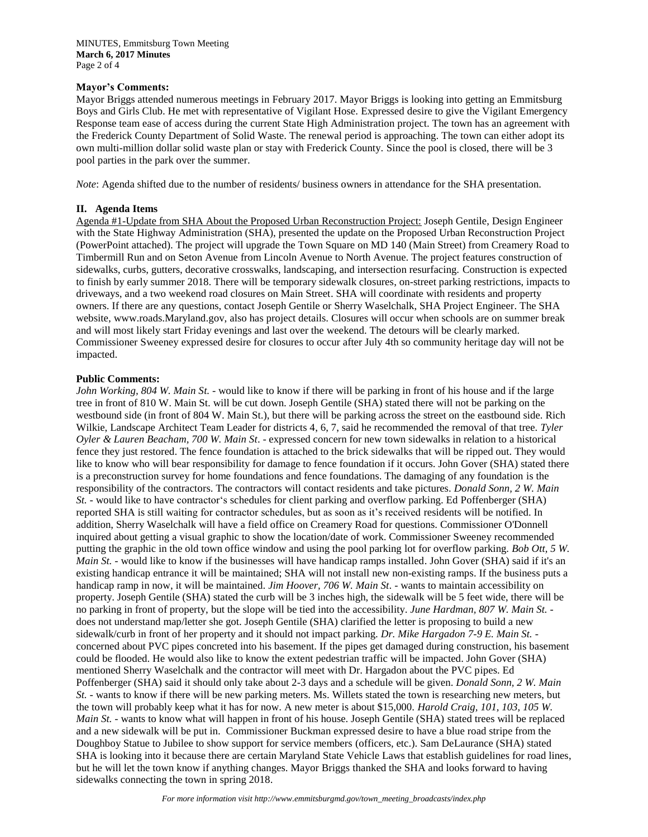#### **Mayor's Comments:**

Mayor Briggs attended numerous meetings in February 2017. Mayor Briggs is looking into getting an Emmitsburg Boys and Girls Club. He met with representative of Vigilant Hose. Expressed desire to give the Vigilant Emergency Response team ease of access during the current State High Administration project. The town has an agreement with the Frederick County Department of Solid Waste. The renewal period is approaching. The town can either adopt its own multi-million dollar solid waste plan or stay with Frederick County. Since the pool is closed, there will be 3 pool parties in the park over the summer.

*Note*: Agenda shifted due to the number of residents/ business owners in attendance for the SHA presentation.

#### **II. Agenda Items**

Agenda #1-Update from SHA About the Proposed Urban Reconstruction Project: Joseph Gentile, Design Engineer with the State Highway Administration (SHA), presented the update on the Proposed Urban Reconstruction Project (PowerPoint attached). The project will upgrade the Town Square on MD 140 (Main Street) from Creamery Road to Timbermill Run and on Seton Avenue from Lincoln Avenue to North Avenue. The project features construction of sidewalks, curbs, gutters, decorative crosswalks, landscaping, and intersection resurfacing. Construction is expected to finish by early summer 2018. There will be temporary sidewalk closures, on-street parking restrictions, impacts to driveways, and a two weekend road closures on Main Street. SHA will coordinate with residents and property owners. If there are any questions, contact Joseph Gentile or Sherry Waselchalk, SHA Project Engineer. The SHA website, www.roads.Maryland.gov, also has project details. Closures will occur when schools are on summer break and will most likely start Friday evenings and last over the weekend. The detours will be clearly marked. Commissioner Sweeney expressed desire for closures to occur after July 4th so community heritage day will not be impacted.

#### **Public Comments:**

*John Working, 804 W. Main St.* - would like to know if there will be parking in front of his house and if the large tree in front of 810 W. Main St. will be cut down. Joseph Gentile (SHA) stated there will not be parking on the westbound side (in front of 804 W. Main St.), but there will be parking across the street on the eastbound side. Rich Wilkie, Landscape Architect Team Leader for districts 4, 6, 7, said he recommended the removal of that tree. *Tyler Oyler & Lauren Beacham, 700 W. Main St*. - expressed concern for new town sidewalks in relation to a historical fence they just restored. The fence foundation is attached to the brick sidewalks that will be ripped out. They would like to know who will bear responsibility for damage to fence foundation if it occurs. John Gover (SHA) stated there is a preconstruction survey for home foundations and fence foundations. The damaging of any foundation is the responsibility of the contractors. The contractors will contact residents and take pictures. *Donald Sonn, 2 W. Main St.* - would like to have contractor's schedules for client parking and overflow parking. Ed Poffenberger (SHA) reported SHA is still waiting for contractor schedules, but as soon as it's received residents will be notified. In addition, Sherry Waselchalk will have a field office on Creamery Road for questions. Commissioner O'Donnell inquired about getting a visual graphic to show the location/date of work. Commissioner Sweeney recommended putting the graphic in the old town office window and using the pool parking lot for overflow parking. *Bob Ott, 5 W. Main St.* - would like to know if the businesses will have handicap ramps installed. John Gover (SHA) said if it's an existing handicap entrance it will be maintained; SHA will not install new non-existing ramps. If the business puts a handicap ramp in now, it will be maintained. *Jim Hoover, 706 W. Main St*. - wants to maintain accessibility on property. Joseph Gentile (SHA) stated the curb will be 3 inches high, the sidewalk will be 5 feet wide, there will be no parking in front of property, but the slope will be tied into the accessibility. *June Hardman, 807 W. Main St.* does not understand map/letter she got. Joseph Gentile (SHA) clarified the letter is proposing to build a new sidewalk/curb in front of her property and it should not impact parking. *Dr. Mike Hargadon 7-9 E. Main St.*  concerned about PVC pipes concreted into his basement. If the pipes get damaged during construction, his basement could be flooded. He would also like to know the extent pedestrian traffic will be impacted. John Gover (SHA) mentioned Sherry Waselchalk and the contractor will meet with Dr. Hargadon about the PVC pipes. Ed Poffenberger (SHA) said it should only take about 2-3 days and a schedule will be given. *Donald Sonn, 2 W. Main St.* - wants to know if there will be new parking meters. Ms. Willets stated the town is researching new meters, but the town will probably keep what it has for now. A new meter is about \$15,000. *Harold Craig, 101, 103, 105 W. Main St.* - wants to know what will happen in front of his house. Joseph Gentile (SHA) stated trees will be replaced and a new sidewalk will be put in. Commissioner Buckman expressed desire to have a blue road stripe from the Doughboy Statue to Jubilee to show support for service members (officers, etc.). Sam DeLaurance (SHA) stated SHA is looking into it because there are certain Maryland State Vehicle Laws that establish guidelines for road lines, but he will let the town know if anything changes. Mayor Briggs thanked the SHA and looks forward to having sidewalks connecting the town in spring 2018.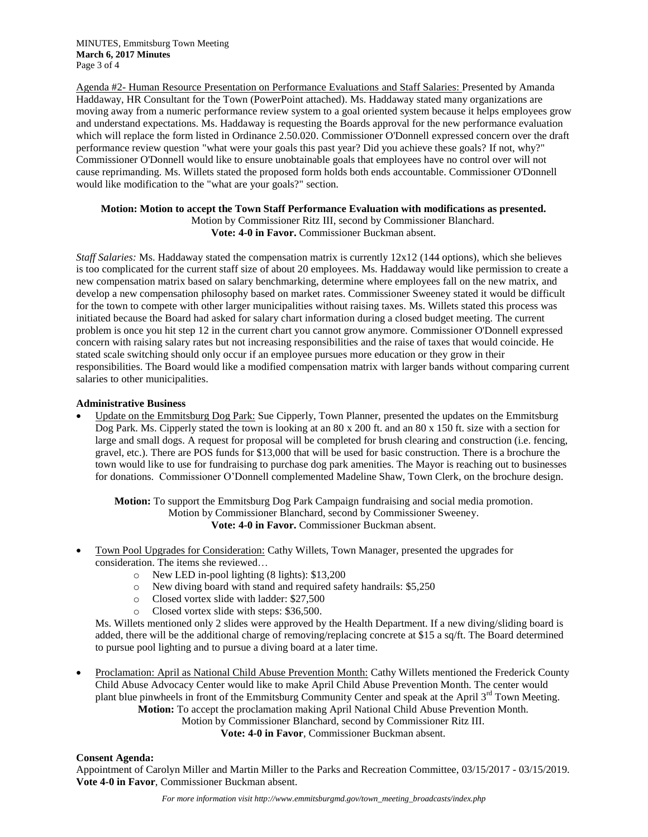Agenda #2- Human Resource Presentation on Performance Evaluations and Staff Salaries: Presented by Amanda Haddaway, HR Consultant for the Town (PowerPoint attached). Ms. Haddaway stated many organizations are moving away from a numeric performance review system to a goal oriented system because it helps employees grow and understand expectations. Ms. Haddaway is requesting the Boards approval for the new performance evaluation which will replace the form listed in Ordinance 2.50.020. Commissioner O'Donnell expressed concern over the draft performance review question "what were your goals this past year? Did you achieve these goals? If not, why?" Commissioner O'Donnell would like to ensure unobtainable goals that employees have no control over will not cause reprimanding. Ms. Willets stated the proposed form holds both ends accountable. Commissioner O'Donnell would like modification to the "what are your goals?" section.

### **Motion: Motion to accept the Town Staff Performance Evaluation with modifications as presented.** Motion by Commissioner Ritz III, second by Commissioner Blanchard. **Vote: 4-0 in Favor.** Commissioner Buckman absent.

*Staff Salaries:* Ms. Haddaway stated the compensation matrix is currently 12x12 (144 options), which she believes is too complicated for the current staff size of about 20 employees. Ms. Haddaway would like permission to create a new compensation matrix based on salary benchmarking, determine where employees fall on the new matrix, and develop a new compensation philosophy based on market rates. Commissioner Sweeney stated it would be difficult for the town to compete with other larger municipalities without raising taxes. Ms. Willets stated this process was initiated because the Board had asked for salary chart information during a closed budget meeting. The current problem is once you hit step 12 in the current chart you cannot grow anymore. Commissioner O'Donnell expressed concern with raising salary rates but not increasing responsibilities and the raise of taxes that would coincide. He stated scale switching should only occur if an employee pursues more education or they grow in their responsibilities. The Board would like a modified compensation matrix with larger bands without comparing current salaries to other municipalities.

# **Administrative Business**

 Update on the Emmitsburg Dog Park: Sue Cipperly, Town Planner, presented the updates on the Emmitsburg Dog Park. Ms. Cipperly stated the town is looking at an 80 x 200 ft. and an 80 x 150 ft. size with a section for large and small dogs. A request for proposal will be completed for brush clearing and construction (i.e. fencing, gravel, etc.). There are POS funds for \$13,000 that will be used for basic construction. There is a brochure the town would like to use for fundraising to purchase dog park amenities. The Mayor is reaching out to businesses for donations. Commissioner O"Donnell complemented Madeline Shaw, Town Clerk, on the brochure design.

**Motion:** To support the Emmitsburg Dog Park Campaign fundraising and social media promotion. Motion by Commissioner Blanchard, second by Commissioner Sweeney. **Vote: 4-0 in Favor.** Commissioner Buckman absent.

- Town Pool Upgrades for Consideration: Cathy Willets, Town Manager, presented the upgrades for consideration. The items she reviewed…
	- o New LED in-pool lighting (8 lights): \$13,200
	- o New diving board with stand and required safety handrails: \$5,250
	- o Closed vortex slide with ladder: \$27,500
	- o Closed vortex slide with steps: \$36,500.

Ms. Willets mentioned only 2 slides were approved by the Health Department. If a new diving/sliding board is added, there will be the additional charge of removing/replacing concrete at \$15 a sq/ft. The Board determined to pursue pool lighting and to pursue a diving board at a later time.

 Proclamation: April as National Child Abuse Prevention Month: Cathy Willets mentioned the Frederick County Child Abuse Advocacy Center would like to make April Child Abuse Prevention Month. The center would plant blue pinwheels in front of the Emmitsburg Community Center and speak at the April 3<sup>rd</sup> Town Meeting. **Motion:** To accept the proclamation making April National Child Abuse Prevention Month. Motion by Commissioner Blanchard, second by Commissioner Ritz III.

**Vote: 4-0 in Favor**, Commissioner Buckman absent.

# **Consent Agenda:**

Appointment of Carolyn Miller and Martin Miller to the Parks and Recreation Committee, 03/15/2017 - 03/15/2019. **Vote 4-0 in Favor**, Commissioner Buckman absent.